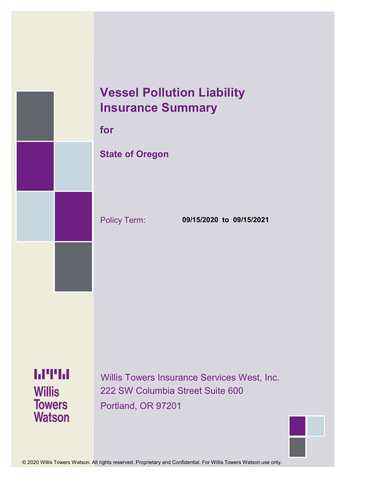## **Vessel Pollution Liability Insurance Summary**

**for**

## **State of Oregon**

Policy Term: **09/15/2020 to 09/15/2021**

**MTH Willis Towers Watson** 

Willis Towers Insurance Services West, Inc. 222 SW Columbia Street Suite 600 Portland, OR 97201